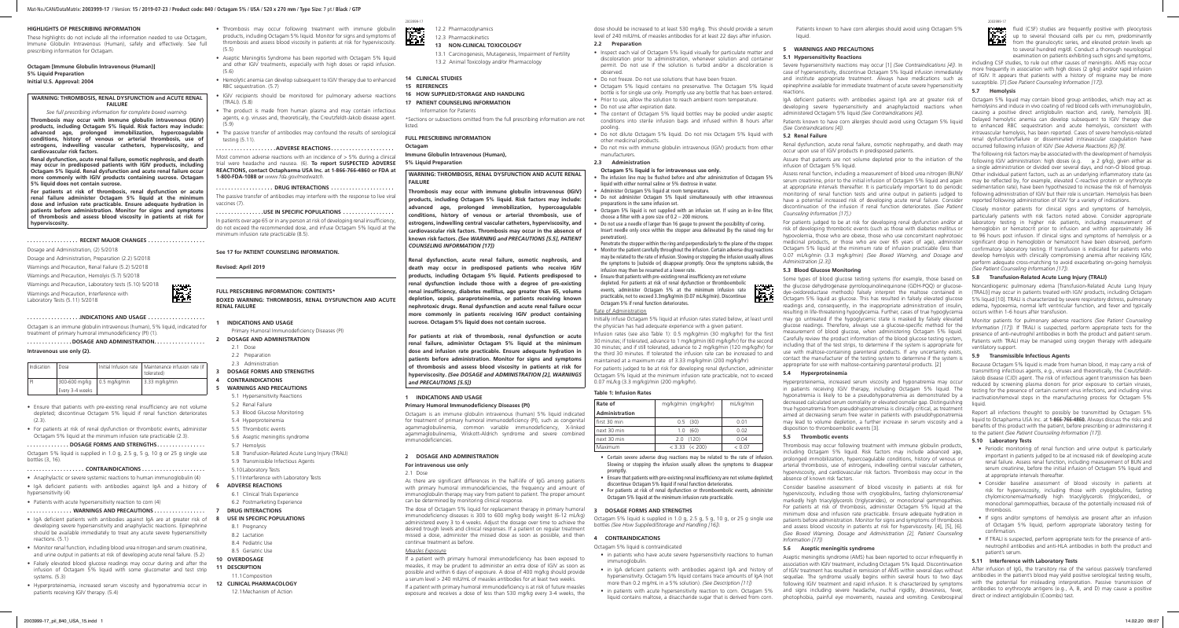## **HIGHLIGHTS OF PRESCRIBING INFORMATION**

These highlights do not include all the information needed to use Octagam, Immune Globulin Intravenous (Human), safely and effectively. See full prescribing information for Octagam.

## **Octagam [Immune Globulin Intravenous (Human)] 5% Liquid Preparation**

## **Initial U.S. Approval: 2004**

## **WARNING: THROMBOSIS, RENAL DYSFUNCTION and ACUTE RENAL FAILURE**

*See full prescribing information for complete boxed warning.*

**Thrombosis may occur with immune globulin intravenous (IGIV) products, including Octagam 5% liquid. Risk factors may include: advanced age, prolonged immobilization, hypercoagulable conditions, history of venous or arterial thrombosis, use of estrogens, indwelling vascular catheters, hyperviscosity, and cardiovascular risk factors.** 

**Renal dysfunction, acute renal failure, osmotic nephrosis, and death may occur in predisposed patients with IGIV products, including Octagam 5% liquid. Renal dysfunction and acute renal failure occur more commonly with IGIV products containing sucrose. Octagam 5% liquid does not contain sucrose.**

**For patients at risk of thrombosis, renal dysfunction or acute renal failure administer Octagam 5% liquid at the minimum dose and infusion rate practicable. Ensure adequate hydration in patients before administration. Monitor for signs and symptoms of thrombosis and assess blood viscosity in patients at risk for hyperviscosity.**

## **. . . . . . . . . . . . . . . . . RECENT MAJOR CHANGES. . .**

Dosage and Administration, (2) 5/2018

Dosage and Administration, Preparation (2.2) 5/2018 Warnings and Precaution, Renal Failure (5.2) 5/2018 Warnings and Precaution, Hemolyis (5.7) 5/2018

Warnings and Precaution, Laboratory tests (5.10) 5/2018 Warnings and Precaution, Interference with Laboratory Tests (5.11) 5/2018



**. . . . . . . . . . . . . . . . . .INDICATIONS AND USAGE. . .** Octagam is an immune globulin intravenous (human), 5% liquid, indicated for treatment of primary humoral immunodeficiency (PI) (1).

**. . . . . . . . . . . . . . . DOSAGE AND ADMINISTRATION. . . . . . . . . . . . . . . . .** 

## **Intravenous use only (2).**

| Indication | Dose                          | Initial Infusion rate   Maintenance infusion rate (if<br>tolerated) |
|------------|-------------------------------|---------------------------------------------------------------------|
| P          | 300-600 mg/kg   0.5 mg/kg/min | 3.33 mg/kg/min                                                      |
|            | Every 3-4 weeks               |                                                                     |

- Ensure that patients with pre-existing renal insufficiency are not volume depleted; discontinue Octagam 5% liquid if renal function deteriorates (2.3).
- For patients at risk of renal dysfunction or thrombotic events, administer Octagam 5% liquid at the minimum infusion rate practicable (2.3).

Most common adverse reactions with an incidence of  $> 5\%$  during a clinical trial were headache and nausea. (6). **To report SUSPECTED ADVERSE REACTIONS, contact Octapharma USA Inc. at 1-866-766-4860 or FDA at 1-800-FDA-1088 or** *www.fda.gov/medwatch.*

**. . . . . . . . . . . . . . DOSAGE FORMS AND STRENGTHS. . . . . . . . . . . . . . . .** 

## 2003999-17 2003999-17 12.2 Pharmacodynamics

- Octagam 5% liquid is supplied in 1.0 g, 2.5 g, 5 g, 10 g or 25 g single use bottles (3, 16).
- **. . . . . . . . . . . . . . . . . . . CONTRAINDICATIONS . . . . . . . . . . . . . . . . . . . . .**
- Anaphylactic or severe systemic reactions to human immunoglobulin (4)
- IgA deficient patients with antibodies against IgA and a history of 6 hypersensitivity (4)
- Patients with acute hypersensitivity reaction to corn (4)
- **. . . . . . . . . . . . . . . WARNINGS AND PRECAUTIONS . . . . . . . . . . . . . . . . .**
- IgA deficient patients with antibodies against IgA are at greater risk of 8 developing severe hypersensitivity and anaphylactic reactions. Epinephrine should be available immediately to treat any acute severe hypersensitivity reactions. (5.1)
- Monitor renal function, including blood urea nitrogen and serum creatinine, and urine output in patients at risk of developing acute renal failure. (5.2)
- Falsely elevated blood glucose readings may occur during and after the infusion of Octagam 5% liquid with some glucometer and test strip systems. (5.3)
- Hyperproteinemia, increased serum viscosity and hyponatremia occur in patients receiving IGIV therapy. (5.4)
- Thrombosis may occur following treatment with immune globulin products, including Octagam 5% liquid. Monitor for signs and symptoms of thrombosis and assess blood viscosity in patients at risk for hyperviscosity.  $(5.5)$
- Aseptic Meningitis Syndrome has been reported with Octagam 5% liquid and other IGIV treatments, especially with high doses or rapid infusion.  $(5.6)$
- Hemolytic anemia can develop subsequent to IGIV therapy due to enhanced **14 CLINICAL STUDIES** RBC sequestration. (5.7)
- IGIV recipients should be monitored for pulmonary adverse reactions (TRALI). (5.8)
- The product is made from human plasma and may contain infectious agents, e.g. viruses and, theoretically, the Creutzfeldt-Jakob disease agent.  $(5.9)$
- The passive transfer of antibodies may confound the results of serological testing (5.11).
- **. . . . . . . . . . . . . . . . . . . .ADVERSE REACTIONS. . . . . . . . . . . . . . . . . . . . .**

## **. . . . . . . . . . . . . . . . . . . DRUG INTERACTIONS. . .**

The passive transfer of antibodies may interfere with the response to live viral vaccines (7).

### **. . . . . . . . . . . . . . . .USE IN SPECIFIC POPULATIONS. . .**

• Octagam 5% liquid contains no preservative. The Octagam 5% liquid bottle is for single use only. Promptly use any bottle that has been entered. • Prior to use, allow the solution to reach ambient room temperature.

In patients over age 65 or in any person at risk of developing renal insufficiency, do not exceed the recommended dose, and infuse Octagam 5% liquid at the minimum infusion rate practicable (8.5).

• The content of Octagam 5% liquid bottles may be pooled under aseptic conditions into sterile infusion bags and infused within 8 hours after

## **See 17 for PATIENT COUNSELING INFORMATION.**

manufacturers. 2.3 Administration

**Revised: April 2019**

# **FULL PRESCRIBING INFORMATION: CONTENTS\***

**BOXED WARNING: THROMBOSIS, RENAL DYSFUNCTION AND ACUTE RENAL FAILURE**

## **1 INDICATIONS AND USAGE**

Primary Humoral Immunodeficiency Diseases (PI)

## **2 DOSAGE AND ADMINISTRATION**

- 2.1 Dose
- 2.2 Preparation

## 2.3 Administration

**3 DOSAGE FORMS AND STRENGTHS**

## **4 CONTRAINDICATIONS**

.<br>Penetrate the stopper within the ring and perpendicularly to the plane of the stopper. • Monitor the patient carefully throughout the infusion. Certain adverse drug reactions may be related to the rate of infusion. Slowing or stopping the infusion usually allows the symptoms to [subside or] disappear promptly. Once the symptoms subside, the

- **5 WARNINGS AND PRECAUTIONS**
	- 5.1 Hypersensitivity Reactions
	- 5.2 Renal Failure
	- 5.3 Blood Glucose Monitoring
	- 5.4 Hyperproteinemia
	- 5.5 Thrombotic events
- 5.6 Aseptic meningitis syndrome
- 5.7 Hemolysis
- 5.8 Transfusion-Related Acute Lung Injury (TRALI)
- 5.9 Transmissible Infectious Agents
- 5.10Laboratory Tests
- 5.11Interference with Laboratory Tests
- **6 ADVERSE REACTIONS**
- 6.1 Clinical Trials Experience
- 6.2 Postmarketing Experience
- **7 DRUG INTERACTIONS 8 USE IN SPECIFIC POPULATIONS**
- 
- 8.1 Pregnancy
- 8.2 Lactation
- 8.4 Pediatric Use 8.5 Geriatric Use
- 
- **10 OVERDOSAGE**
- **11 DESCRIPTION**
- 11.1Composition
- **12 CLINICAL PHARMACOLOGY** 12.1Mechanism of Action

Initially infuse Octagam 5% liquid at infusion rates stated below, at least until the physician has had adequate experience with a given patient.

- 12.3 Pharmacokinetics
- **13 NON-CLINICAL TOXICOLOGY**
- 13.1 Carcinogenesis, Mutagenesis, Impairment of Fertility
- 13.2 Animal Toxicology and/or Pharmacology
- 

监督

- **15 REFERENCES**
- **16 HOW SUPPLIED/STORAGE AND HANDLING**
- **17 PATIENT COUNSELING INFORMATION**
- Information for Patients

\*Sections or subsections omitted from the full prescribing information are not listed.

## **FULL PRESCRIBING INFORMATION**

**Octagam Immune Globulin Intravenous (Human),** 

**5% Liquid Preparation**

## **WARNING: THROMBOSIS, RENAL DYSFUNCTION AND ACUTE RENAL FAILURE**

• in IgA deficient patients with antibodies against IgA and history of hypersensitivity. Octagam 5% liquid contains trace amounts of IgA (not more than 0.2 mg/mL in a 5% solution). *(See Description [11])*

• in patients with acute hypersensitivity reaction to corn. Octagam 5%

**Thrombosis may occur with immune globulin intravenous (IGIV) products, including Octagam 5% liquid. Risk factors may include: advanced age, prolonged immobilization, hypercoagulable conditions, history of venous or arterial thrombosis, use of estrogens, indwelling central vascular catheters, hyperviscosity, and cardiovascular risk factors. Thrombosis may occur in the absence of known risk factors.** *(See WARNING and PRECAUTIONS [5.5], PATIENT COUNSELING INFORMATION [17])*

**Renal dysfunction, acute renal failure, osmotic nephrosis, and death may occur in predisposed patients who receive IGIV products, including Octagam 5% liquid. Patients predisposed to renal dysfunction include those with a degree of pre-existing renal insufficiency, diabetes mellitus, age greater than 65, volume depletion, sepsis, paraproteinemia, or patients receiving known nephrotoxic drugs. Renal dysfunction and acute renal failure occur more commonly in patients receiving IGIV product containing sucrose. Octagam 5% liquid does not contain sucrose.**

**For patients at risk of thrombosis, renal dysfunction or acute renal failure, administer Octagam 5% liquid at the minimum dose and infusion rate practicable. Ensure adequate hydration in patients before administration. Monitor for signs and symptoms of thrombosis and assess blood viscosity in patients at risk for hyperviscosity.** *(See DOSAGE and ADMINISTRATION [2], WARNINGS and PRECAUTIONS [5.5])*

**1 INDICATIONS AND USAGE**

**Primary Humoral Immunodeficiency Diseases (PI)**

Octagam is an immune globulin intravenous (human) 5% liquid indicated for treatment of primary humoral immunodeficiency (PI), such as congenital agammaglobulinemia, common variable immunodeficiency, X-linked agammaglobulinemia, Wiskott-Aldrich syndrome and severe combined

immunodeficiencies.

**2 DOSAGE AND ADMINISTRATION**

**For intravenous use only**

2.1 Dose

As there are significant differences in the half-life of IgG among patients with primary humoral immunodeficiencies, the frequency and amount of immunoglobulin therapy may vary from patient to patient. The proper amount

can be determined by monitoring clinical response.

The dose of Octagam 5% liquid for replacement therapy in primary humoral immunodeficiency diseases is 300 to 600 mg/kg body weight (6-12 mL/kg) administered every 3 to 4 weeks. Adjust the dosage over time to achieve the desired trough levels and clinical responses. If a patient on regular treatment missed a dose, administer the missed dose as soon as possible, and then

continue treatment as before.

*Measles Exposure*

If a patient with primary humoral immunodeficiency has been exposed to measles, it may be prudent to administer an extra dose of IGIV as soon as possible and within 6 days of exposure. A dose of 400 mg/kg should provide a serum level > 240 mIU/mL of measles antibodies for at least two weeks. If a patient with primary humoral immunodeficiency is at risk of future measles exposure and receives a dose of less than 530 mg/kg every 3-4 weeks, the fluid (CSF) studies are frequently positive with pleocytosis up to several thousand cells per cu mm, predominantly from the granulocytic series, and elevated protein levels up to several hundred mg/dl. Conduct a thorough neurological examination on patients exhibiting such signs and symptoms,

dose should be increased to at least 530 mg/kg. This should provide a serum level of 240 mIU/mL of measles antibodies for at least 22 days after infusion.

**2.2 Preparation**

• Inspect each vial of Octagam 5% liquid visually for particulate matter and discoloration prior to administration, whenever solution and container permit. Do not use if the solution is turbid and/or a discoloration is

observed.

• Do not freeze. Do not use solutions that have been frozen.

• Do not use after expiration date.

pooling.

• Do not dilute Octagam 5% liquid. Do not mix Octagam 5% liquid with

other medicinal products.

• Do not mix with immune globulin intravenous (IGIV) products from other

### **Octagam 5% liquid is for intravenous use only.**

• The infusion line may be flushed before and after administration of Octagam 5% liquid with either normal saline or 5% dextrose in water. • Administer Octagam 5% liquid at room temperature.

• Do not administer Octagam 5% liquid simultaneously with other intravenous

preparations in the same infusion set.

• Octagam 5% liquid is not supplied with an infusion set. If using an in-line filter, choose a filter with a pore size of 0.2 – 200 microns.

• Do not use a needle of larger than 16 gauge to prevent the possibility of coring. Insert needle only once within the stopper area delineated (by the raised ring for

penetration).

infusion may then be resumed at a lower rate.

• Ensure that patients with pre-existing renal insufficiency are not volume depleted. For patients at risk of renal dysfunction or thromboembolic events, administer Octagam 5% at the minimum infusion rate practicable, not to exceed 3.3mg/kg/min (0.07 mL/kg/min). Discontinue

Octagam 5% if renal function deteriorates.

Rate of Administration

Infusion rates (see also Table 1): 0.5 mg/kg/min (30 mg/kg/hr) for the first 30 minutes; if tolerated, advance to 1 mg/kg/min (60 mg/kg/hr) for the second 30 minutes; and if still tolerated, advance to 2 mg/kg/min (120 mg/kg/hr) for the third 30 minutes. If tolerated the infusion rate can be increased to and maintained at a maximum rate of 3.33 mg/kg/min (200 mg/kg/hr)

For patients judged to be at risk for developing renal dysfunction, administer Octagam 5% liquid at the minimum infusion rate practicable, not to exceed

0.07 mL/kg (3.3 mg/kg)/min (200 mg/kg/hr).

**Table 1: Infusion Rates**

| Rate of               | mg/kg/min (mg/kg/hr)             | mL/kg/min |  |
|-----------------------|----------------------------------|-----------|--|
| <b>Administration</b> |                                  |           |  |
| first 30 min          | $0.5$ (30)                       | 0.01      |  |
| next 30 min           | 1.0(60)                          | 0.02      |  |
| next 30 min           | 2.0(120)                         | 0.04      |  |
| Maximum               | $< 3.33 \leqslant \leqslant 200$ | < 0.07    |  |

• Certain severe adverse drug reactions may be related to the rate of infusion. Slowing or stopping the infusion usually allows the symptoms to disappear

promptly.

• Ensure that patients with pre-existing renal insufficiency are not volume depleted; discontinue Octagam 5% liquid if renal function deteriorates.

• For patients at risk of renal dysfunction or thromboembolic events, administer Octagam 5% liquid at the minimum infusion rate practicable.

**3 DOSAGE FORMS AND STRENGTHS**

Octagam 5% liquid is supplied in 1.0 g, 2.5 g, 5 g, 10 g, or 25 g single use bottles *(See How Supplied/Storage and Handling [16]).*

**4 CONTRAINDICATIONS** Octagam 5% liquid is contraindicated

• in patients who have acute severe hypersensitivity reactions to human

immunoglobulin.

Patients known to have corn allergies should avoid using Octagam 5% liquid.

## **5 WARNINGS AND PRECAUTIONS**

## **5.1 Hypersensitivity Reactions**

Severe hypersensitivity reactions may occur [1] *(See Contraindications [4])*. In case of hypersensitivity, discontinue Octagam 5% liquid infusion immediately and institute appropriate treatment. Always have medications such as epinephrine available for immediate treatment of acute severe hypersensitivity reactions.

IgA deficient patients with antibodies against IgA are at greater risk of developing severe hypersensitivity and anaphylactoid reactions when administered Octagam 5% liquid *(See Contraindications [4]).*

Patients known to have corn allergies should avoid using Octagam 5% liquid *(See Contraindications [4]).*

## **5.2 Renal Failure**

Renal dysfunction, acute renal failure, osmotic nephropathy, and death may occur upon use of IGIV products in predisposed patients.

Assure that patients are not volume depleted prior to the initiation of the infusion of Octagam 5% liquid.

Assess renal function, including a measurement of blood urea nitrogen (BUN)/ serum creatinine, prior to the initial infusion of Octagam 5% liquid and again at appropriate intervals thereafter. It is particularly important to do periodic monitoring of renal function tests and urine output in patients judged to have a potential increased risk of developing acute renal failure. Consider discontinuation of the infusion if renal function deteriorates. *(See Patient Counseling Information [17].)*

For patients judged to be at risk for developing renal dysfunction and/or at risk of developing thrombotic events (such as those with diabetes mellitus or hypovolemia, those who are obese, those who use concomitant nephrotoxic medicinal products, or those who are over 65 years of age), administer Octagam 5% liquid at the minimum rate of infusion practicable (less than 0.07 mL/kg/min (3.3 mg/kg/min) *(See Boxed Warning, and Dosage and Administration [2.3]).*

## **5.3 Blood Glucose Monitoring**

Some types of blood glucose testing systems (for example, those based on the glucose dehydrogenase pyrroloquinolinequinone (GDH-PQQ) or glucosedye-oxidoreductase methods) falsely interpret the maltose contained in Octagam 5% liquid as glucose. This has resulted in falsely elevated glucose readings and, consequently, in the inappropriate administration of insulin, resulting in life-threatening hypoglycemia. Further, cases of true hypoglycemia may go untreated if the hypoglycemic state is masked by falsely elevated glucose readings. Therefore, always use a glucose-specific method for the measurement of blood glucose, when administering Octagam 5% liquid. Carefully review the product information of the blood glucose testing system, including that of the test strips, to determine if the system is appropriate for use with maltose-containing parenteral products. If any uncertainty exists, contact the manufacturer of the testing system to determine if the system is appropriate for use with maltose-containing parenteral products. [2]

liquid contains maltose, a disaccharide sugar that is derived from corn. photophobia, painful eye movements, nausea and vomiting. Cerebrospinal Aseptic meningitis syndrome (AMS) has been reported to occur infrequently in association with IGIV treatment, including Octagam 5% liquid. Discontinuation of IGIV treatment has resulted in remission of AMS within several days without sequelae. The syndrome usually begins within several hours to two days following IGIV treatment and rapid infusion. It is characterized by symptoms and signs including severe headache, nuchal rigidity, drowsiness, fever,



#### **5.4 Hyperproteinemia**

Hyperproteinemia, increased serum viscosity and hyponatremia may occur in patients receiving IGIV therapy, including Octagam 5% liquid. The hyponatremia is likely to be a pseudohyponatremia as demonstrated by a decreased calculated serum osmolality or elevated osmolar gap. Distinguishing true hyponatremia from pseudohyponatremia is clinically critical, as treatment aimed at decreasing serum free water in patients with pseudohyponatremia may lead to volume depletion, a further increase in serum viscosity and a disposition to thromboembolic events [3].

## **5.5 Thrombotic events**

Thrombosis may occur following treatment with immune globulin products, including Octagam 5% liquid. Risk factors may include advanced age, prolonged immobilization, hypercoagulable conditions, history of venous or arterial thrombosis, use of estrogens, indwelling central vascular catheters, hyperviscosity, and cardiovascular risk factors. Thrombosis may occur in the absence of known risk factors.

Consider baseline assessment of blood viscosity in patients at risk for hyperviscosity, including those with cryoglobulins, fasting chylomicronemia/ markedly high triacylglycerols (triglycerides), or monoclonal gammopathies. For patients at risk of thrombosis, administer Octagam 5% liquid at the minimum dose and infusion rate practicable. Ensure adequate hydration in patients before administration. Monitor for signs and symptoms of thrombosis and assess blood viscosity in patients at risk for hyperviscosity. [4], [5], [6]. *(See Boxed Warning, Dosage and Administration [2], Patient Counseling Information [17])* 

### **5.6 Aseptic meningitis syndrome**

including CSF studies, to rule out other causes of meningitis. AMS may occur more frequently in association with high doses (2 g/kg) and/or rapid infusion of IGIV. It appears that patients with a history of migraine may be more susceptible. [7] *(See Patient Counseling Information [17]).*

## **5.7 Hemolysis**

Octagam 5% liquid may contain blood group antibodies, which may act as hemolysins and induce in vivo coating of red blood cells with immunoglobulin, causing a positive direct antiglobulin reaction and, rarely, hemolysis [8]. Delayed hemolytic anemia can develop subsequent to IGIV therapy due to enhanced RBC sequestration and acute hemolysis, consistent with intravascular hemolysis, has been reported. Cases of severe hemolysis-related renal dysfunction/failure or disseminated intravascular coagulation have occurred following infusion of IGIV *(See Adverse Reactions [6]) [9].*

The following risk factors may be associated with the development of hemolysis following IGIV administration: high doses (e.g.  $\geq 2$  g/kg), given either as a single administration or divided over several days, and non-O blood group. Other individual patient factors, such as an underlying inflammatory state (as may be reflected by, for example, elevated C-reactive protein or erythrocyte sedimentation rate), have been hypothesized to increase the risk of hemolysis following administration of IGIV but their role is uncertain. Hemolysis has been reported following administration of IGIV for a variety of indications.

Closely monitor patients for clinical signs and symptoms of hemolysis, particularly patients with risk factors noted above. Consider appropriate laboratory testing in higher risk patients, including measurement of hemoglobin or hematocrit prior to infusion and within approximately 36 to 96 hours post infusion. If clinical signs and symptoms of hemolysis or a significant drop in hemoglobin or hematocrit have been observed, perform confirmatory laboratory testing. If transfusion is indicated for patients who develop hemolysis with clinically compromising anemia after receiving IGIV, perform adequate cross-matching to avoid exacerbating on-going hemolysis *(See Patient Counseling Information [17]).*

## **5.8 Transfusion-Related Acute Lung Injury (TRALI)**

Noncardiogenic pulmonary edema [Transfusion-Related Acute Lung Injury (TRALI)] may occur in patients treated with IGIV products, including Octagam 5% liquid [10]. TRALI is characterized by severe respiratory distress, pulmonary edema, hypoxemia, normal left ventricular function, and fever and typically occurs within 1-6 hours after transfusion.

Monitor patients for pulmonary adverse reactions *(See Patient Counseling Information [17]).* If TRALI is suspected, perform appropriate tests for the presence of anti-neutrophil antibodies in both the product and patient serum. Patients with TRALI may be managed using oxygen therapy with adequate ventilatory support.

## **5.9 Transmissible Infectious Agents**

Because Octagam 5% liquid is made from human blood, it may carry a risk of transmitting infectious agents, e.g., viruses and theoretically, the Creutzfeldt-Jakob disease (CJD) agent. The risk of infectious agent transmission has been reduced by screening plasma donors for prior exposure to certain viruses, testing for the presence of certain current virus infections, and including virus inactivation/removal steps in the manufacturing process for Octagam 5% liquid.

Report all infections thought to possibly be transmitted by Octagam 5% liquid to Octapharma USA Inc. at **1-866-766-4860.** Always discuss the risks and benefits of this product with the patient, before prescribing or administering it to the patient *(See Patient Counseling Information [17]).*

#### **5.10 Laboratory Tests**

- Periodic monitoring of renal function and urine output is particularly important in patients judged to be at increased risk of developing acute renal failure. Assess renal function, including measurement of BUN and serum creatinine, before the initial infusion of Octagam 5% liquid and at appropriate intervals thereafter.
- Consider baseline assessment of blood viscosity in patients at risk for hyperviscosity, including those with cryoglobulins, fasting chylomicronemia/markedly high triacylglycerols (triglycerides), or monoclonal gammopathies, because of the potentially increased risk of thrombosis.
- If signs and/or symptoms of hemolysis are present after an infusion of Octagam 5% liquid, perform appropriate laboratory testing for confirmation.
- If TRALI is suspected, perform appropriate tests for the presence of antineutrophil antibodies and anti-HLA antibodies in both the product and patient's serum.

## **5.11 Interference with Laboratory Tests**

After infusion of IgG, the transitory rise of the various passively transferred antibodies in the patient's blood may yield positive serological testing results, with the potential for misleading interpretation. Passive transmission of antibodies to erythrocyte antigens (e.g., A, B, and D) may cause a positive direct or indirect antiglobulin (Coombs) test.

## Mat-No./CAN/DataMatrix: **2003999-17** / Version: **15** / **2019-07-23** / **Product code: 840** / **Octagam 5%** / **USA** / **520 x 270 mm** / **Type Size:** 7 pt / **Black** / **GTP**